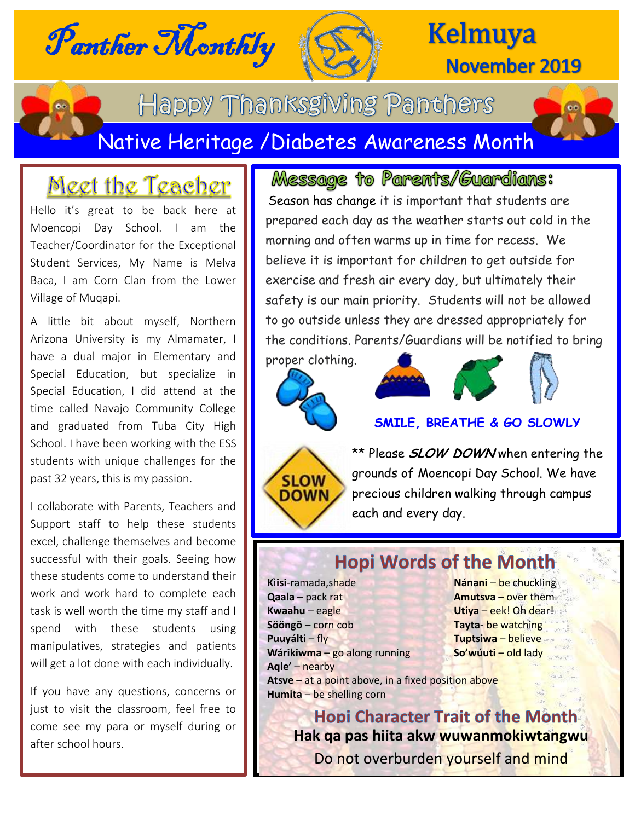



# Kelmuya **November 2019**

**Happy Thanksgiving Panthers** 



### Native Heritage /Diabetes Awareness Month

## Meet the Teacher

 Hello it's great to be back here at Moencopi Day School. I am the Teacher/Coordinator for the Exceptional Student Services, My Name is Melva Baca, I am Corn Clan from the Lower Village of Muqapi.

A little bit about myself, Northern Arizona University is my Almamater, I have a dual major in Elementary and Special Education, but specialize in Special Education, I did attend at the time called Navajo Community College and graduated from Tuba City High School. I have been working with the ESS students with unique challenges for the past 32 years, this is my passion.

I collaborate with Parents, Teachers and Support staff to help these students excel, challenge themselves and become successful with their goals. Seeing how these students come to understand their work and work hard to complete each task is well worth the time my staff and I spend with these students using manipulatives, strategies and patients will get a lot done with each individually.

If you have any questions, concerns or just to visit the classroom, feel free to come see my para or myself during or after school hours.

#### Message to Parents/Guardians:

Season has change it is important that students are prepared each day as the weather starts out cold in the morning and often warms up in time for recess. We believe it is important for children to get outside for exercise and fresh air every day, but ultimately their safety is our main priority. Students will not be allowed to go outside unless they are dressed appropriately for the conditions. Parents/Guardians will be notified to bring

proper clothing.









#### **SMILE, BREATHE & GO SLOWLY**



\*\* Please **SLOW DOWN** when entering the grounds of Moencopi Day School. We have precious children walking through campus each and every day.

#### **Hopi Words of the Month**

**K**ìisi-ramada,shade **Nánani** – be chuckling **Qaala** – pack rat **Amutsva** – over them **Kwaahu** – eagle **Light Exercise Control Control Control Control Control Control Control Control Control Control Control Control Control Control Control Control Control Control Control Control Control Control Control Contr Sööngö** – corn cob **Tayta**- be watching **Puuyálti** – fly **Tuptsiwa – believe Wárikiwma** – go along running **So'wúuti** – old lady **Aqle'** – nearby

**Atsve** – at a point above, in a fixed position above **Humita** – be shelling corn

> **Hopi Character Trait of the Month Hak qa pas hiita akw wuwanmokiwtangwu**

Do not overburden yourself and mind